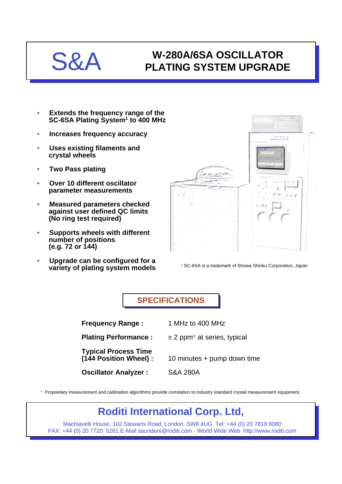## S&A **W-280A/6SA OSCILLATOR PLATING SYSTEM UPGRADE**

- **Extends the frequency range of the SC-6SA Plating System1 to 400 MHz**
- **Increases frequency accuracy**
- **Uses existing filaments and crystal wheels**
- **Two Pass plating**
- **Over 10 different oscillator parameter measurements**
- **Measured parameters checked against user defined QC limits (No ring test required)**
- **Supports wheels with different number of positions (e.g. 72 or 144)**
- **Upgrade can be configured for a variety of plating system models** <sup>1</sup> SC-6SA is a trademark of Showa Shinku Corporation, Japan



**SPECIFICATIONS SPECIFICATIONS**

**Frequency Range :** 1 MHz to 400 MHz

**Plating Performance :**  $\pm 2$  ppm<sup>\*</sup> at series, typical

**Typical Process Time**

- 
- 10 minutes + pump down time

**Oscillator Analyzer :** S&A 280A

\* Proprietary measurement and calibration algorithms provide correlation to industry standard crystal measurement equipment.

## **Roditi International Corp. Ltd,**

Machiavelli House, 102 Stewarts Road, London. SW8 4UG. Tel: +44 (0) 20 7819 8080 FAX: +44 (0) 20 7720 5261 E-Mail saunders@roditi.com - World Wide Web http://www.roditi.com